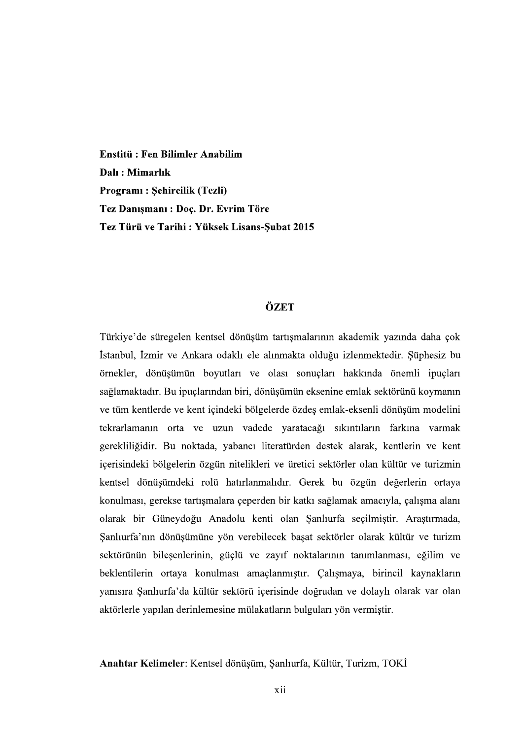Enstitü : Fen Bilimler Anabilim Dalı: Mimarlık Programı : Şehircilik (Tezli)<br>Tez Danışmanı : Doç. Dr. Evrim Töre<br>Tez Türü ve Tarihi : Yüksek Lisans-Subat 2015

## ÖZET

Türkiye'de süregelen kentsel dönüşüm tartışmalarının akademik yazında daha çok İstanbul, İzmir ve Ankara odaklı ele alınmakta olduğu izlenmektedir. Şüphesiz bu<br>örnekler, dönüşümün boyutları ve olası sonuçları hakkında önemli ipuçları<br>sağlamaktadır. Bu ipuçlarından biri, dönüşümün eksenine emlak sektö tekrarlamanın orta ve uzun vadede yaratacağı sıkıntıların farkına varmak gerekliliğidir. Bu noktada, yabancı literatürden destek alarak, kentlerin ve kent içerisindeki bölgelerin özgün nitelikleri ve üretici sektörler olan kültür ve turizmin kentsel dönüşümdeki rolü hatırlanmalıdır. Gerek bu özgün değerlerin ortaya konulması, gerekse tartışmalara çeperden bir katkı sağlamak amacıyla, çalışma alanı olarak bir Güneydoğu Anadolu kenti olan Şanlıurfa seçilmiştir. Araştırmada, Sanlıurfa'nın dönüşümüne yön verebilecek başat sektörler olarak kültür ve turizm sektörünün bileşenlerinin, güçlü ve zayıf noktalarının tanımlanması, eğilim ve beklentilerin ortaya konulması amaçlanmıştır. Çalışmaya, birincil kaynakların yanısıra Şanlıurfa'da kültür sektörü içerisinde doğrudan ve dolaylı olarak var olan aktörlerle yapılan derinlemesine mülakatların bulguları yön vermiştir.

Anahtar Kelimeler: Kentsel dönüşüm, Şanlıurfa, Kültür, Turizm, TOKİ